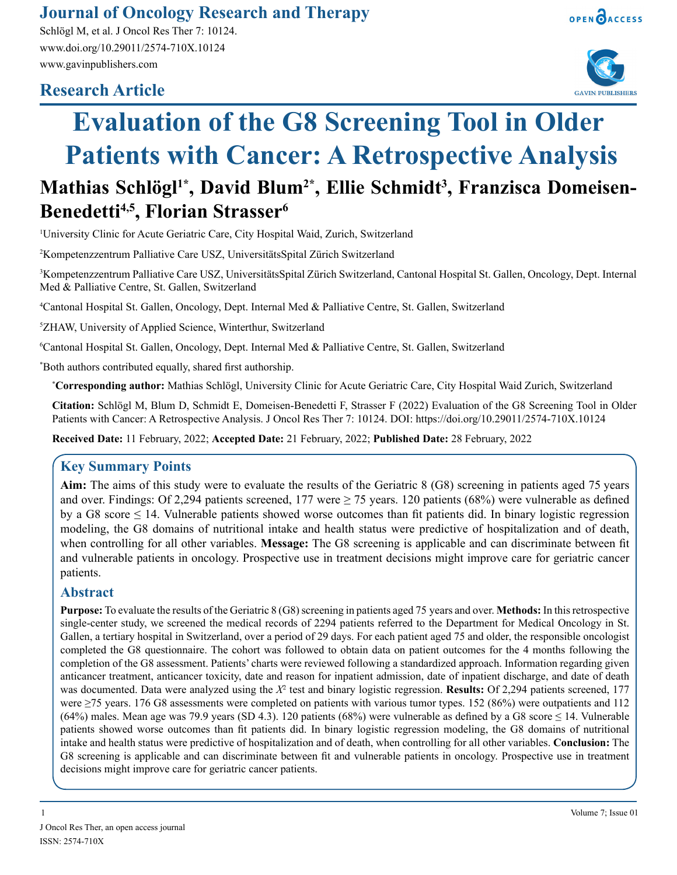# **Journal of Oncology Research and Therapy**

Schlögl M, et al. J Oncol Res Ther 7: 10124. www.doi.org/10.29011/2574-710X.10124 www.gavinpublishers.com

# **Research Article**





# **Evaluation of the G8 Screening Tool in Older Patients with Cancer: A Retrospective Analysis**

# **Mathias Schlögl1\*, David Blum2\*, Ellie Schmidt3 , Franzisca Domeisen-Benedetti4,5, Florian Strasser6**

1 University Clinic for Acute Geriatric Care, City Hospital Waid, Zurich, Switzerland

2 Kompetenzzentrum Palliative Care USZ, UniversitätsSpital Zürich Switzerland

3 Kompetenzzentrum Palliative Care USZ, UniversitätsSpital Zürich Switzerland, Cantonal Hospital St. Gallen, Oncology, Dept. Internal Med & Palliative Centre, St. Gallen, Switzerland

4 Cantonal Hospital St. Gallen, Oncology, Dept. Internal Med & Palliative Centre, St. Gallen, Switzerland

5 ZHAW, University of Applied Science, Winterthur, Switzerland

6 Cantonal Hospital St. Gallen, Oncology, Dept. Internal Med & Palliative Centre, St. Gallen, Switzerland

\* Both authors contributed equally, shared first authorship.

**\* Corresponding author:** Mathias Schlögl, University Clinic for Acute Geriatric Care, City Hospital Waid Zurich, Switzerland

**Citation:** Schlögl M, Blum D, Schmidt E, Domeisen-Benedetti F, Strasser F (2022) Evaluation of the G8 Screening Tool in Older Patients with Cancer: A Retrospective Analysis. J Oncol Res Ther 7: 10124. DOI: https://doi.org/10.29011/2574-710X.10124

**Received Date:** 11 February, 2022; **Accepted Date:** 21 February, 2022; **Published Date:** 28 February, 2022

# **Key Summary Points**

**Aim:** The aims of this study were to evaluate the results of the Geriatric 8 (G8) screening in patients aged 75 years and over. Findings: Of 2,294 patients screened, 177 were  $\geq$  75 years. 120 patients (68%) were vulnerable as defined by a G8 score  $\leq$  14. Vulnerable patients showed worse outcomes than fit patients did. In binary logistic regression modeling, the G8 domains of nutritional intake and health status were predictive of hospitalization and of death, when controlling for all other variables. **Message:** The G8 screening is applicable and can discriminate between fit and vulnerable patients in oncology. Prospective use in treatment decisions might improve care for geriatric cancer patients.

## **Abstract**

**Purpose:** To evaluate the results of the Geriatric 8 (G8) screening in patients aged 75 years and over. **Methods:** In this retrospective single-center study, we screened the medical records of 2294 patients referred to the Department for Medical Oncology in St. Gallen, a tertiary hospital in Switzerland, over a period of 29 days. For each patient aged 75 and older, the responsible oncologist completed the G8 questionnaire. The cohort was followed to obtain data on patient outcomes for the 4 months following the completion of the G8 assessment. Patients' charts were reviewed following a standardized approach. Information regarding given anticancer treatment, anticancer toxicity, date and reason for inpatient admission, date of inpatient discharge, and date of death was documented. Data were analyzed using the *X*<sup>2</sup> test and binary logistic regression. **Results:** Of 2,294 patients screened, 177 were ≥75 years. 176 G8 assessments were completed on patients with various tumor types. 152 (86%) were outpatients and 112 (64%) males. Mean age was 79.9 years (SD 4.3). 120 patients (68%) were vulnerable as defined by a G8 score  $\leq$  14. Vulnerable patients showed worse outcomes than fit patients did. In binary logistic regression modeling, the G8 domains of nutritional intake and health status were predictive of hospitalization and of death, when controlling for all other variables. **Conclusion:** The G8 screening is applicable and can discriminate between fit and vulnerable patients in oncology. Prospective use in treatment decisions might improve care for geriatric cancer patients.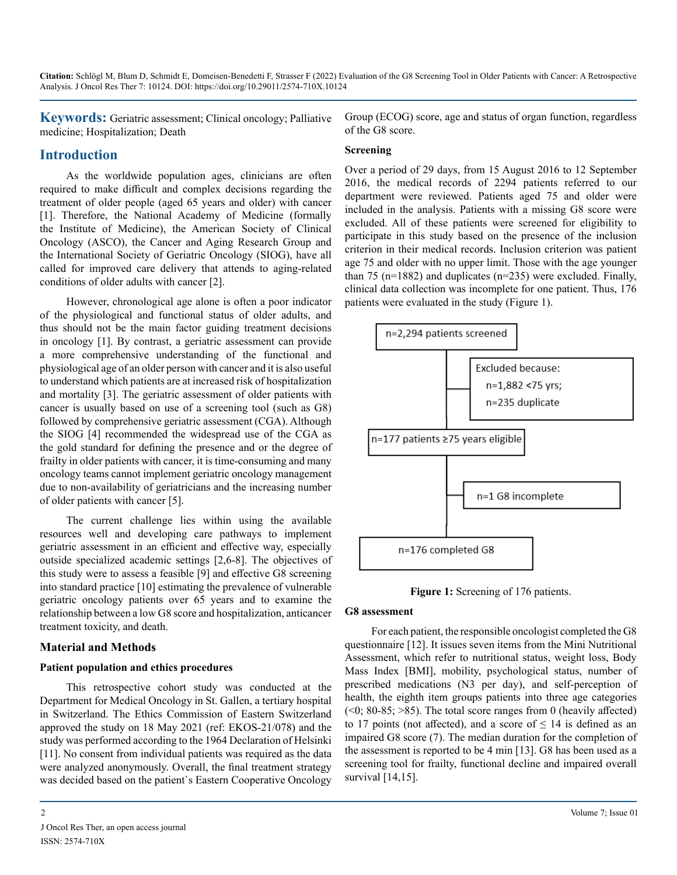**Keywords:** Geriatric assessment; Clinical oncology; Palliative medicine; Hospitalization; Death

### **Introduction**

As the worldwide population ages, clinicians are often required to make difficult and complex decisions regarding the treatment of older people (aged 65 years and older) with cancer [1]. Therefore, the National Academy of Medicine (formally the Institute of Medicine), the American Society of Clinical Oncology (ASCO), the Cancer and Aging Research Group and the International Society of Geriatric Oncology (SIOG), have all called for improved care delivery that attends to aging-related conditions of older adults with cancer [2].

However, chronological age alone is often a poor indicator of the physiological and functional status of older adults, and thus should not be the main factor guiding treatment decisions in oncology [1]. By contrast, a geriatric assessment can provide a more comprehensive understanding of the functional and physiological age of an older person with cancer and it is also useful to understand which patients are at increased risk of hospitalization and mortality [3]. The geriatric assessment of older patients with cancer is usually based on use of a screening tool (such as G8) followed by comprehensive geriatric assessment (CGA). Although the SIOG [4] recommended the widespread use of the CGA as the gold standard for defining the presence and or the degree of frailty in older patients with cancer, it is time-consuming and many oncology teams cannot implement geriatric oncology management due to non-availability of geriatricians and the increasing number of older patients with cancer [5].

The current challenge lies within using the available resources well and developing care pathways to implement geriatric assessment in an efficient and effective way, especially outside specialized academic settings [2,6-8]. The objectives of this study were to assess a feasible [9] and effective G8 screening into standard practice [10] estimating the prevalence of vulnerable geriatric oncology patients over 65 years and to examine the relationship between a low G8 score and hospitalization, anticancer treatment toxicity, and death.

#### **Material and Methods**

#### **Patient population and ethics procedures**

This retrospective cohort study was conducted at the Department for Medical Oncology in St. Gallen, a tertiary hospital in Switzerland. The Ethics Commission of Eastern Switzerland approved the study on 18 May 2021 (ref: EKOS-21/078) and the study was performed according to the 1964 Declaration of Helsinki [11]. No consent from individual patients was required as the data were analyzed anonymously. Overall, the final treatment strategy was decided based on the patient`s Eastern Cooperative Oncology Group (ECOG) score, age and status of organ function, regardless of the G8 score.

#### **Screening**

Over a period of 29 days, from 15 August 2016 to 12 September 2016, the medical records of 2294 patients referred to our department were reviewed. Patients aged 75 and older were included in the analysis. Patients with a missing G8 score were excluded. All of these patients were screened for eligibility to participate in this study based on the presence of the inclusion criterion in their medical records. Inclusion criterion was patient age 75 and older with no upper limit. Those with the age younger than 75 ( $n=1882$ ) and duplicates ( $n=235$ ) were excluded. Finally, clinical data collection was incomplete for one patient. Thus, 176 patients were evaluated in the study (Figure 1).



**Figure 1:** Screening of 176 patients.

#### **G8 assessment**

For each patient, the responsible oncologist completed the G8 questionnaire [12]. It issues seven items from the Mini Nutritional Assessment, which refer to nutritional status, weight loss, Body Mass Index [BMI], mobility, psychological status, number of prescribed medications (N3 per day), and self-perception of health, the eighth item groups patients into three age categories  $($  <0; 80-85; >85). The total score ranges from 0 (heavily affected) to 17 points (not affected), and a score of  $\leq$  14 is defined as an impaired G8 score (7). The median duration for the completion of the assessment is reported to be 4 min [13]. G8 has been used as a screening tool for frailty, functional decline and impaired overall survival [14,15].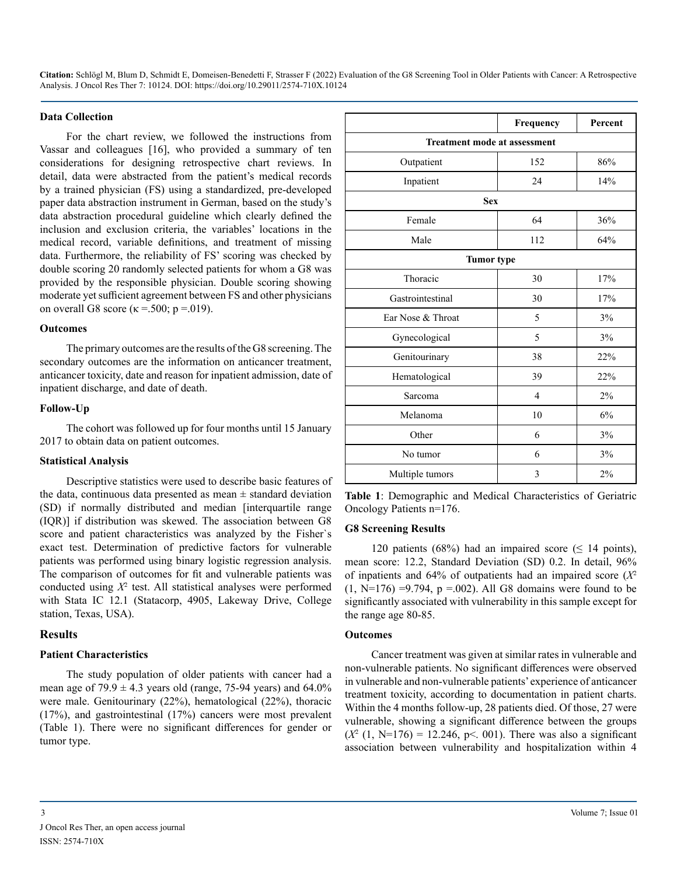#### **Data Collection**

For the chart review, we followed the instructions from Vassar and colleagues [16], who provided a summary of ten considerations for designing retrospective chart reviews. In detail, data were abstracted from the patient's medical records by a trained physician (FS) using a standardized, pre-developed paper data abstraction instrument in German, based on the study's data abstraction procedural guideline which clearly defined the inclusion and exclusion criteria, the variables' locations in the medical record, variable definitions, and treatment of missing data. Furthermore, the reliability of FS' scoring was checked by double scoring 20 randomly selected patients for whom a G8 was provided by the responsible physician. Double scoring showing moderate yet sufficient agreement between FS and other physicians on overall G8 score ( $\kappa$  =.500; p =.019).

#### **Outcomes**

The primary outcomes are the results of the G8 screening. The secondary outcomes are the information on anticancer treatment, anticancer toxicity, date and reason for inpatient admission, date of inpatient discharge, and date of death.

#### **Follow-Up**

The cohort was followed up for four months until 15 January 2017 to obtain data on patient outcomes.

#### **Statistical Analysis**

Descriptive statistics were used to describe basic features of the data, continuous data presented as mean  $\pm$  standard deviation (SD) if normally distributed and median [interquartile range (IQR)] if distribution was skewed. The association between G8 score and patient characteristics was analyzed by the Fisher`s exact test. Determination of predictive factors for vulnerable patients was performed using binary logistic regression analysis. The comparison of outcomes for fit and vulnerable patients was conducted using *Χ*<sup>2</sup> test. All statistical analyses were performed with Stata IC 12.1 (Statacorp, 4905, Lakeway Drive, College station, Texas, USA).

#### **Results**

#### **Patient Characteristics**

The study population of older patients with cancer had a mean age of  $79.9 \pm 4.3$  years old (range, 75-94 years) and 64.0% were male. Genitourinary (22%), hematological (22%), thoracic (17%), and gastrointestinal (17%) cancers were most prevalent (Table 1). There were no significant differences for gender or tumor type.

|                                     | Frequency         | Percent |  |  |  |  |
|-------------------------------------|-------------------|---------|--|--|--|--|
| <b>Treatment mode at assessment</b> |                   |         |  |  |  |  |
| Outpatient                          | 152               | 86%     |  |  |  |  |
| Inpatient                           | 24                | 14%     |  |  |  |  |
|                                     | <b>Sex</b>        |         |  |  |  |  |
| Female                              | 64                | 36%     |  |  |  |  |
| Male                                | 112               | 64%     |  |  |  |  |
|                                     | <b>Tumor</b> type |         |  |  |  |  |
| Thoracic                            | 30                | 17%     |  |  |  |  |
| Gastrointestinal                    | 30                | 17%     |  |  |  |  |
| Ear Nose & Throat                   | 5                 | 3%      |  |  |  |  |
| Gynecological                       | 5                 | 3%      |  |  |  |  |
| Genitourinary                       | 38                | 22%     |  |  |  |  |
| Hematological                       | 39                | 22%     |  |  |  |  |
| Sarcoma                             | 4                 | 2%      |  |  |  |  |
| Melanoma                            | 10                | 6%      |  |  |  |  |
| Other                               | 6                 | 3%      |  |  |  |  |
| No tumor                            | 6                 | 3%      |  |  |  |  |
| Multiple tumors                     | 3                 | 2%      |  |  |  |  |

**Table 1**: Demographic and Medical Characteristics of Geriatric Oncology Patients n=176.

#### **G8 Screening Results**

120 patients (68%) had an impaired score ( $\leq$  14 points), mean score: 12.2, Standard Deviation (SD) 0.2. In detail, 96% of inpatients and 64% of outpatients had an impaired score (*Χ*<sup>2</sup>  $(1, N=176) = 9.794$ ,  $p = 0.002$ ). All G8 domains were found to be significantly associated with vulnerability in this sample except for the range age 80-85.

#### **Outcomes**

Cancer treatment was given at similar rates in vulnerable and non-vulnerable patients. No significant differences were observed in vulnerable and non-vulnerable patients' experience of anticancer treatment toxicity, according to documentation in patient charts. Within the 4 months follow-up, 28 patients died. Of those, 27 were vulnerable, showing a significant difference between the groups  $(X^2 (1, N=176) = 12.246, p<.001)$ . There was also a significant association between vulnerability and hospitalization within 4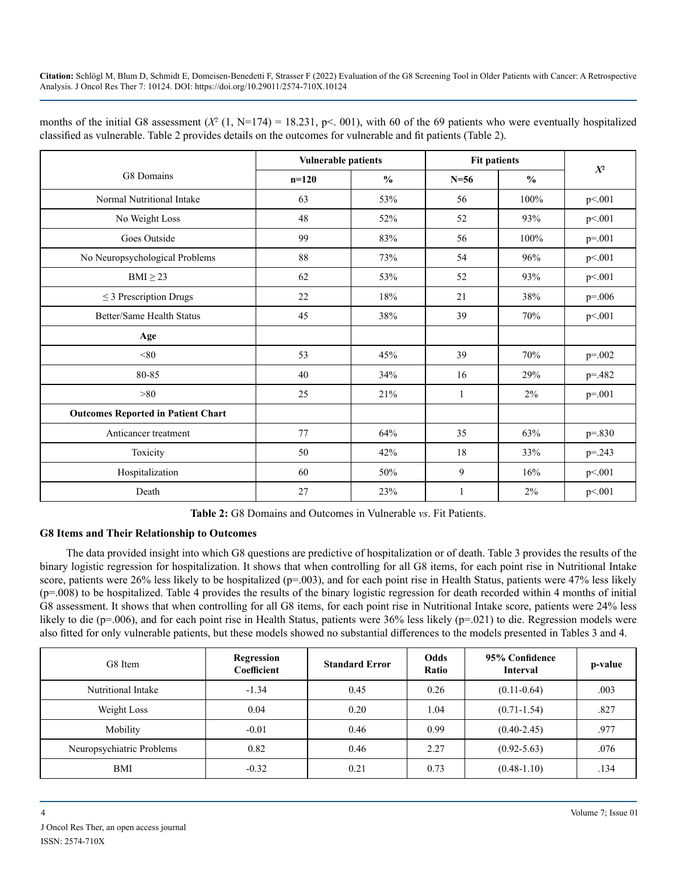| months of the initial G8 assessment $(X^2(1, N=174) = 18.231, p<0.01)$ , with 60 of the 69 patients who were eventually hospitalized |  |
|--------------------------------------------------------------------------------------------------------------------------------------|--|
| classified as vulnerable. Table 2 provides details on the outcomes for vulnerable and fit patients (Table 2).                        |  |

|                                           | <b>Vulnerable patients</b> |               | <b>Fit patients</b> |               | $X^2$       |  |
|-------------------------------------------|----------------------------|---------------|---------------------|---------------|-------------|--|
| G8 Domains                                | $n=120$                    | $\frac{0}{0}$ | $N = 56$            | $\frac{0}{0}$ |             |  |
| Normal Nutritional Intake                 | 63                         | 53%           | 56                  | 100%          | p<.001      |  |
| No Weight Loss                            | 48                         | 52%           | 52                  | 93%           | p<.001      |  |
| Goes Outside                              | 99                         | 83%           | 56                  | 100%          | $p = 0.01$  |  |
| No Neuropsychological Problems            | 88                         | 73%           | 54                  | 96%           | p<.001      |  |
| $BMI \geq 23$                             | 62                         | 53%           | 52                  | 93%           | p<.001      |  |
| $\leq$ 3 Prescription Drugs               | 22                         | 18%           | 21                  | 38%           | $p = 0.006$ |  |
| Better/Same Health Status                 | 45                         | 38%           | 39                  | 70%           | p<.001      |  |
| Age                                       |                            |               |                     |               |             |  |
| < 80                                      | 53                         | 45%           | 39                  | 70%           | $p = 0.002$ |  |
| 80-85                                     | 40                         | 34%           | 16                  | 29%           | $p = 0.482$ |  |
| >80                                       | 25                         | 21%           | 1                   | 2%            | $p = 0.001$ |  |
| <b>Outcomes Reported in Patient Chart</b> |                            |               |                     |               |             |  |
| Anticancer treatment                      | 77                         | 64%           | 35                  | 63%           | $p=.830$    |  |
| Toxicity                                  | 50                         | 42%           | 18                  | 33%           | $p = 0.243$ |  |
| Hospitalization                           | 60                         | 50%           | 9                   | 16%           | p<.001      |  |
| Death                                     | 27                         | 23%           | 1                   | 2%            | p<.001      |  |

**Table 2:** G8 Domains and Outcomes in Vulnerable *vs*. Fit Patients.

#### **G8 Items and Their Relationship to Outcomes**

The data provided insight into which G8 questions are predictive of hospitalization or of death. Table 3 provides the results of the binary logistic regression for hospitalization. It shows that when controlling for all G8 items, for each point rise in Nutritional Intake score, patients were 26% less likely to be hospitalized ( $p=0.003$ ), and for each point rise in Health Status, patients were 47% less likely (p=.008) to be hospitalized. Table 4 provides the results of the binary logistic regression for death recorded within 4 months of initial G8 assessment. It shows that when controlling for all G8 items, for each point rise in Nutritional Intake score, patients were 24% less likely to die (p=.006), and for each point rise in Health Status, patients were 36% less likely (p=.021) to die. Regression models were also fitted for only vulnerable patients, but these models showed no substantial differences to the models presented in Tables 3 and 4.

| G8 Item                   | Regression<br>Coefficient | <b>Standard Error</b> | Odds<br>Ratio | 95% Confidence<br><b>Interval</b> | p-value |
|---------------------------|---------------------------|-----------------------|---------------|-----------------------------------|---------|
| Nutritional Intake        | $-1.34$                   | 0.45                  | 0.26          | $(0.11 - 0.64)$                   | .003    |
| Weight Loss               | 0.04                      | 0.20                  | 1.04          | $(0.71 - 1.54)$                   | .827    |
| Mobility                  | $-0.01$                   | 0.46                  | 0.99          | $(0.40 - 2.45)$                   | .977    |
| Neuropsychiatric Problems | 0.82                      | 0.46                  | 2.27          | $(0.92 - 5.63)$                   | .076    |
| BMI                       | $-0.32$                   | 0.21                  | 0.73          | $(0.48 - 1.10)$                   | .134    |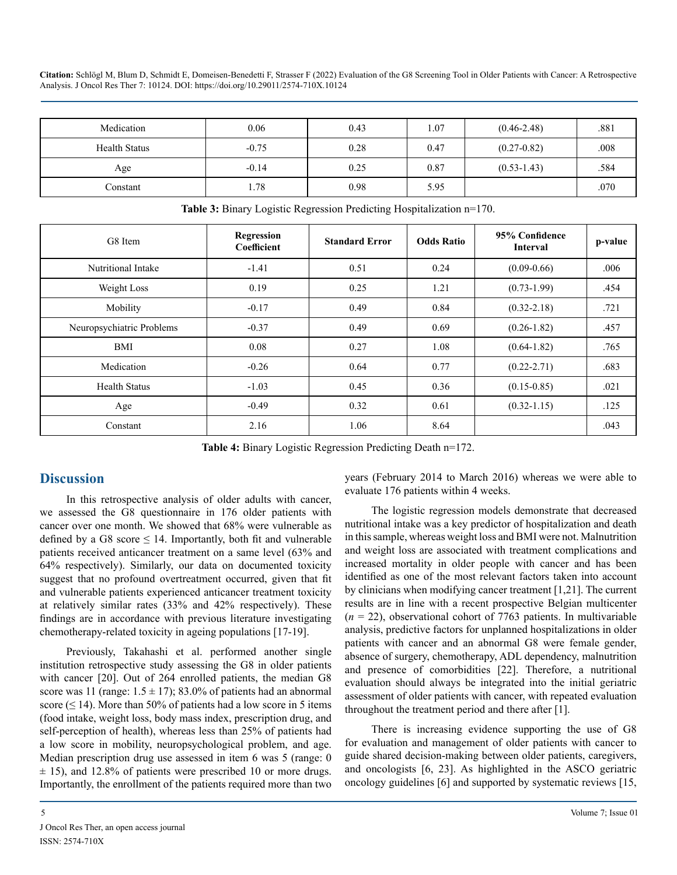| Medication           | 0.06    | 0.43 | 1.07 | $(0.46 - 2.48)$ | .881 |
|----------------------|---------|------|------|-----------------|------|
| <b>Health Status</b> | $-0.75$ | 0.28 | 0.47 | $(0.27 - 0.82)$ | .008 |
| Age                  | $-0.14$ | 0.25 | 0.87 | $(0.53 - 1.43)$ | .584 |
| Constant             | 1.78    | 0.98 | 5.95 |                 | .070 |

| G8 Item                   | Regression<br>Coefficient | <b>Standard Error</b> | <b>Odds Ratio</b> | 95% Confidence<br><b>Interval</b> | p-value |
|---------------------------|---------------------------|-----------------------|-------------------|-----------------------------------|---------|
| Nutritional Intake        | $-1.41$                   | 0.51                  | 0.24              | $(0.09 - 0.66)$                   | .006    |
| Weight Loss               | 0.19                      | 0.25                  | 1.21              | $(0.73 - 1.99)$                   | .454    |
| Mobility                  | $-0.17$                   | 0.49                  | 0.84              | $(0.32 - 2.18)$                   | .721    |
| Neuropsychiatric Problems | $-0.37$                   | 0.49                  | 0.69              | $(0.26 - 1.82)$                   | .457    |
| BMI                       | 0.08                      | 0.27                  | 1.08              | $(0.64 - 1.82)$                   | .765    |
| Medication                | $-0.26$                   | 0.64                  | 0.77              | $(0.22 - 2.71)$                   | .683    |
| <b>Health Status</b>      | $-1.03$                   | 0.45                  | 0.36              | $(0.15 - 0.85)$                   | .021    |
| Age                       | $-0.49$                   | 0.32                  | 0.61              | $(0.32 - 1.15)$                   | .125    |
| Constant                  | 2.16                      | 1.06                  | 8.64              |                                   | .043    |

**Table 3:** Binary Logistic Regression Predicting Hospitalization n=170.

**Table 4:** Binary Logistic Regression Predicting Death n=172.

# **Discussion**

In this retrospective analysis of older adults with cancer, we assessed the G8 questionnaire in 176 older patients with cancer over one month. We showed that 68% were vulnerable as defined by a G8 score  $\leq$  14. Importantly, both fit and vulnerable patients received anticancer treatment on a same level (63% and 64% respectively). Similarly, our data on documented toxicity suggest that no profound overtreatment occurred, given that fit and vulnerable patients experienced anticancer treatment toxicity at relatively similar rates (33% and 42% respectively). These findings are in accordance with previous literature investigating chemotherapy-related toxicity in ageing populations [17-19].

Previously, Takahashi et al. performed another single institution retrospective study assessing the G8 in older patients with cancer [20]. Out of 264 enrolled patients, the median G8 score was 11 (range:  $1.5 \pm 17$ ); 83.0% of patients had an abnormal score ( $\leq$  14). More than 50% of patients had a low score in 5 items (food intake, weight loss, body mass index, prescription drug, and self-perception of health), whereas less than 25% of patients had a low score in mobility, neuropsychological problem, and age. Median prescription drug use assessed in item 6 was 5 (range: 0  $\pm$  15), and 12.8% of patients were prescribed 10 or more drugs. Importantly, the enrollment of the patients required more than two years (February 2014 to March 2016) whereas we were able to evaluate 176 patients within 4 weeks.

The logistic regression models demonstrate that decreased nutritional intake was a key predictor of hospitalization and death in this sample, whereas weight loss and BMI were not. Malnutrition and weight loss are associated with treatment complications and increased mortality in older people with cancer and has been identified as one of the most relevant factors taken into account by clinicians when modifying cancer treatment [1,21]. The current results are in line with a recent prospective Belgian multicenter (*n* = 22), observational cohort of 7763 patients. In multivariable analysis, predictive factors for unplanned hospitalizations in older patients with cancer and an abnormal G8 were female gender, absence of surgery, chemotherapy, ADL dependency, malnutrition and presence of comorbidities [22]. Therefore, a nutritional evaluation should always be integrated into the initial geriatric assessment of older patients with cancer, with repeated evaluation throughout the treatment period and there after [1].

There is increasing evidence supporting the use of G8 for evaluation and management of older patients with cancer to guide shared decision-making between older patients, caregivers, and oncologists [6, 23]. As highlighted in the ASCO geriatric oncology guidelines [6] and supported by systematic reviews [15,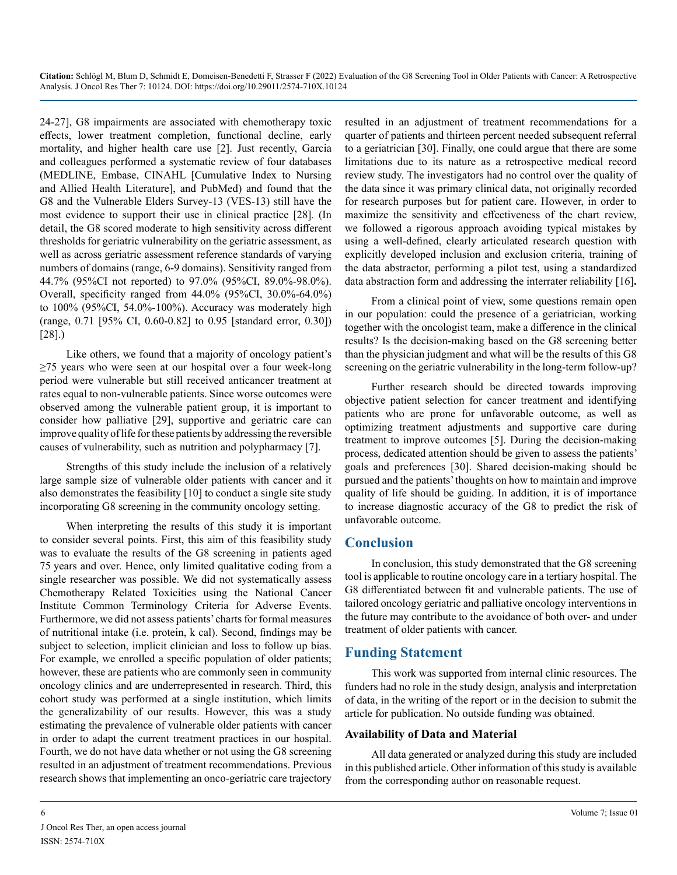24-27], G8 impairments are associated with chemotherapy toxic effects, lower treatment completion, functional decline, early mortality, and higher health care use [2]. Just recently, Garcia and colleagues performed a systematic review of four databases (MEDLINE, Embase, CINAHL [Cumulative Index to Nursing and Allied Health Literature], and PubMed) and found that the G8 and the Vulnerable Elders Survey-13 (VES-13) still have the most evidence to support their use in clinical practice [28]*.* (In detail, the G8 scored moderate to high sensitivity across different thresholds for geriatric vulnerability on the geriatric assessment, as well as across geriatric assessment reference standards of varying numbers of domains (range, 6-9 domains). Sensitivity ranged from 44.7% (95%CI not reported) to 97.0% (95%CI, 89.0%-98.0%). Overall, specificity ranged from 44.0% (95%CI, 30.0%-64.0%) to 100% (95%CI, 54.0%-100%). Accuracy was moderately high (range, 0.71 [95% CI, 0.60-0.82] to 0.95 [standard error, 0.30]) [28].)

Like others, we found that a majority of oncology patient's ≥75 years who were seen at our hospital over a four week-long period were vulnerable but still received anticancer treatment at rates equal to non-vulnerable patients. Since worse outcomes were observed among the vulnerable patient group, it is important to consider how palliative [29], supportive and geriatric care can improve quality of life for these patients by addressing the reversible causes of vulnerability, such as nutrition and polypharmacy [7].

Strengths of this study include the inclusion of a relatively large sample size of vulnerable older patients with cancer and it also demonstrates the feasibility [10] to conduct a single site study incorporating G8 screening in the community oncology setting.

When interpreting the results of this study it is important to consider several points. First, this aim of this feasibility study was to evaluate the results of the G8 screening in patients aged 75 years and over. Hence, only limited qualitative coding from a single researcher was possible. We did not systematically assess Chemotherapy Related Toxicities using the National Cancer Institute Common Terminology Criteria for Adverse Events. Furthermore, we did not assess patients' charts for formal measures of nutritional intake (i.e. protein, k cal). Second, findings may be subject to selection, implicit clinician and loss to follow up bias. For example, we enrolled a specific population of older patients; however, these are patients who are commonly seen in community oncology clinics and are underrepresented in research. Third, this cohort study was performed at a single institution, which limits the generalizability of our results. However, this was a study estimating the prevalence of vulnerable older patients with cancer in order to adapt the current treatment practices in our hospital. Fourth, we do not have data whether or not using the G8 screening resulted in an adjustment of treatment recommendations. Previous research shows that implementing an onco-geriatric care trajectory

resulted in an adjustment of treatment recommendations for a quarter of patients and thirteen percent needed subsequent referral to a geriatrician [30]. Finally, one could argue that there are some limitations due to its nature as a retrospective medical record review study. The investigators had no control over the quality of the data since it was primary clinical data, not originally recorded for research purposes but for patient care. However, in order to maximize the sensitivity and effectiveness of the chart review, we followed a rigorous approach avoiding typical mistakes by using a well-defined, clearly articulated research question with explicitly developed inclusion and exclusion criteria, training of the data abstractor, performing a pilot test, using a standardized data abstraction form and addressing the interrater reliability [16]**.**

From a clinical point of view, some questions remain open in our population: could the presence of a geriatrician, working together with the oncologist team, make a difference in the clinical results? Is the decision-making based on the G8 screening better than the physician judgment and what will be the results of this G8 screening on the geriatric vulnerability in the long-term follow-up?

Further research should be directed towards improving objective patient selection for cancer treatment and identifying patients who are prone for unfavorable outcome, as well as optimizing treatment adjustments and supportive care during treatment to improve outcomes [5]. During the decision-making process, dedicated attention should be given to assess the patients' goals and preferences [30]. Shared decision-making should be pursued and the patients' thoughts on how to maintain and improve quality of life should be guiding. In addition, it is of importance to increase diagnostic accuracy of the G8 to predict the risk of unfavorable outcome.

## **Conclusion**

In conclusion, this study demonstrated that the G8 screening tool is applicable to routine oncology care in a tertiary hospital. The G8 differentiated between fit and vulnerable patients. The use of tailored oncology geriatric and palliative oncology interventions in the future may contribute to the avoidance of both over- and under treatment of older patients with cancer.

## **Funding Statement**

This work was supported from internal clinic resources. The funders had no role in the study design, analysis and interpretation of data, in the writing of the report or in the decision to submit the article for publication. No outside funding was obtained.

#### **Availability of Data and Material**

All data generated or analyzed during this study are included in this published article. Other information of this study is available from the corresponding author on reasonable request.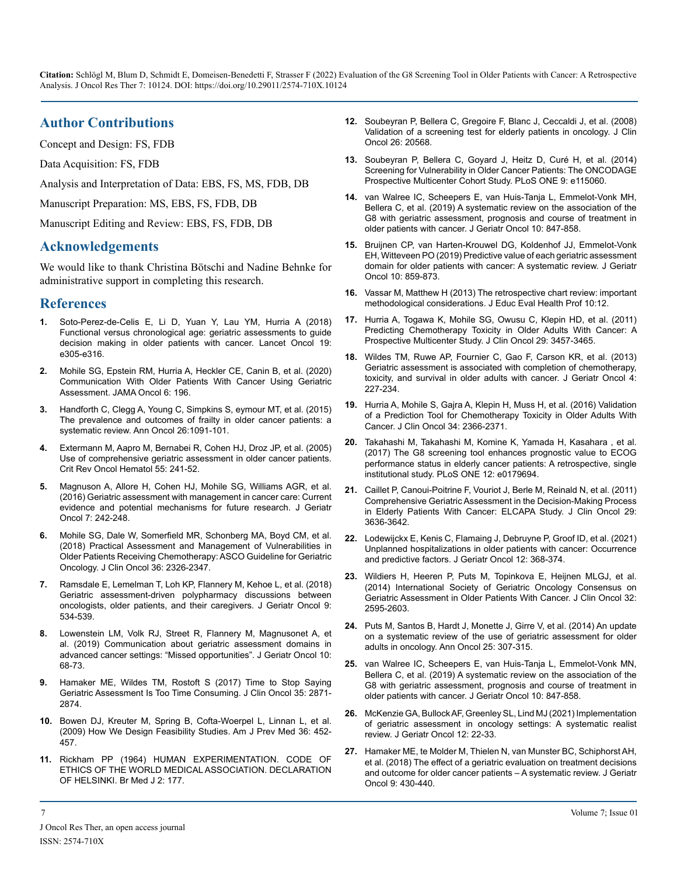# **Author Contributions**

Concept and Design: FS, FDB

Data Acquisition: FS, FDB

Analysis and Interpretation of Data: EBS, FS, MS, FDB, DB

Manuscript Preparation: MS, EBS, FS, FDB, DB

Manuscript Editing and Review: EBS, FS, FDB, DB

#### **Acknowledgements**

We would like to thank Christina Bötschi and Nadine Behnke for administrative support in completing this research.

#### **References**

- **1.** [Soto-Perez-de-Celis E, Li D, Yuan Y, Lau YM, Hurria A \(2018\)](https://pubmed.ncbi.nlm.nih.gov/29893262/)  [Functional versus chronological age: geriatric assessments to guide](https://pubmed.ncbi.nlm.nih.gov/29893262/)  [decision making in older patients with cancer. Lancet Oncol 19:](https://pubmed.ncbi.nlm.nih.gov/29893262/)  [e305-e316.](https://pubmed.ncbi.nlm.nih.gov/29893262/)
- **2.** [Mohile SG, Epstein RM, Hurria A, Heckler CE, Canin B, et al. \(2020\)](https://jamanetwork.com/journals/jamaoncology/fullarticle/2754746)  [Communication With Older Patients With Cancer Using Geriatric](https://jamanetwork.com/journals/jamaoncology/fullarticle/2754746)  [Assessment. JAMA Oncol 6: 196.](https://jamanetwork.com/journals/jamaoncology/fullarticle/2754746)
- **3.** [Handforth C, Clegg A, Young C, Simpkins S, eymour MT, et al. \(2015\)](https://pubmed.ncbi.nlm.nih.gov/25403592/)  [The prevalence and outcomes of frailty in older cancer patients: a](https://pubmed.ncbi.nlm.nih.gov/25403592/)  [systematic review. Ann Oncol 26:1091-101.](https://pubmed.ncbi.nlm.nih.gov/25403592/)
- **4.** [Extermann M, Aapro M, Bernabei R,](https://pubmed.ncbi.nlm.nih.gov/16084735/) Cohen HJ, Droz JP, et al. (2005) [Use of comprehensive geriatric assessment in older cancer patients.](https://pubmed.ncbi.nlm.nih.gov/16084735/)  [Crit Rev Oncol Hematol 55: 241-52.](https://pubmed.ncbi.nlm.nih.gov/16084735/)
- **5.** [Magnuson A, Allore H, Cohen HJ,](https://www.ncbi.nlm.nih.gov/labs/pmc/articles/PMC4969156/) Mohile SG, Williams AGR, et al. [\(2016\) Geriatric assessment with management in cancer care: Current](https://www.ncbi.nlm.nih.gov/labs/pmc/articles/PMC4969156/)  [evidence and potential mechanisms for future research. J Geriatr](https://www.ncbi.nlm.nih.gov/labs/pmc/articles/PMC4969156/)  [Oncol 7: 242-248.](https://www.ncbi.nlm.nih.gov/labs/pmc/articles/PMC4969156/)
- **6.** [Mohile SG, Dale W, Somerfield MR,](https://pubmed.ncbi.nlm.nih.gov/29782209/) Schonberg MA, Boyd CM, et al. [\(2018\) Practical Assessment and Management of Vulnerabilities in](https://pubmed.ncbi.nlm.nih.gov/29782209/)  [Older Patients Receiving Chemotherapy: ASCO Guideline for Geriatric](https://pubmed.ncbi.nlm.nih.gov/29782209/)  [Oncology. J Clin Oncol 36: 2326-2347.](https://pubmed.ncbi.nlm.nih.gov/29782209/)
- **7.** [Ramsdale E, Lemelman T, Loh KP, Flannery M, Kehoe L, et al. \(2018\)](https://pubmed.ncbi.nlm.nih.gov/29530495/)  [Geriatric assessment-driven polypharmacy discussions between](https://pubmed.ncbi.nlm.nih.gov/29530495/)  [oncologists, older patients, and their caregivers. J Geriatr Oncol 9:](https://pubmed.ncbi.nlm.nih.gov/29530495/)  [534-539.](https://pubmed.ncbi.nlm.nih.gov/29530495/)
- **8.** [Lowenstein LM, Volk RJ, Street R, Flannery M, Magnusonet A, et](https://www.sciencedirect.com/science/article/abs/pii/S1879406818300158) [al. \(2019\) Communication about geriatric assessment domains in](https://www.sciencedirect.com/science/article/abs/pii/S1879406818300158)  [advanced cancer settings: "Missed opportunities". J Geriatr Oncol 10:](https://www.sciencedirect.com/science/article/abs/pii/S1879406818300158) [68-73.](https://www.sciencedirect.com/science/article/abs/pii/S1879406818300158)
- **9.** [Hamaker ME, Wildes TM, Rostoft S \(2017\) Time to Stop Saying](https://pubmed.ncbi.nlm.nih.gov/28628364/)  [Geriatric Assessment Is Too Time Consuming. J Clin Oncol 35: 2871-](https://pubmed.ncbi.nlm.nih.gov/28628364/) [2874.](https://pubmed.ncbi.nlm.nih.gov/28628364/)
- **10.** Bowen DJ, Kreuter M, Spring B, [Cofta-Woerpel L, Linnan L, et al.](https://pubmed.ncbi.nlm.nih.gov/19362699/)  [\(2009\) How We Design Feasibility Studies. Am J Prev Med 36: 452-](https://pubmed.ncbi.nlm.nih.gov/19362699/) [457.](https://pubmed.ncbi.nlm.nih.gov/19362699/)
- **11.** [Rickham PP \(1964\) HUMAN EXPERIMENTATION. CODE OF](https://pubmed.ncbi.nlm.nih.gov/14150898/)  [ETHICS OF THE WORLD MEDICAL ASSOCIATION. DECLARATION](https://pubmed.ncbi.nlm.nih.gov/14150898/) [OF HELSINKI. Br Med J 2: 177.](https://pubmed.ncbi.nlm.nih.gov/14150898/)
- **12.** [Soubeyran P, Bellera C, Gregoire F, Blanc J, Ceccaldi J, et al. \(2008\)](https://ascopubs.org/doi/abs/10.1200/jco.2008.26.15_suppl.20568)  [Validation of a screening test for elderly patients in oncology. J Clin](https://ascopubs.org/doi/abs/10.1200/jco.2008.26.15_suppl.20568)  [Oncol 26: 20568.](https://ascopubs.org/doi/abs/10.1200/jco.2008.26.15_suppl.20568)
- **13.** [Soubeyran P, Bellera C, Goyard J, Heitz D, Curé H, et al. \(2014\)](https://doi.org/10.1371/journal.pone.0115060)  [Screening for Vulnerability in Older Cancer Patients: The ONCODAGE](https://doi.org/10.1371/journal.pone.0115060)  [Prospective Multicenter Cohort Study. PLoS ONE 9: e115060.](https://doi.org/10.1371/journal.pone.0115060)
- **14.** [van Walree IC, Scheepers E, van Huis-Tanja L, Emmelot-Vonk MH,](https://pubmed.ncbi.nlm.nih.gov/31078444/)  [Bellera C, et al. \(2019\) A systematic review on the association of the](https://pubmed.ncbi.nlm.nih.gov/31078444/) [G8 with geriatric assessment, prognosis and course of treatment in](https://pubmed.ncbi.nlm.nih.gov/31078444/)  [older patients with cancer. J Geriatr Oncol 10: 847-858.](https://pubmed.ncbi.nlm.nih.gov/31078444/)
- **15.** [Bruijnen CP, van Harten-Krouwel DG, Koldenhof JJ, Emmelot-Vonk](https://pubmed.ncbi.nlm.nih.gov/30926250/)  [EH, Witteveen PO \(2019\) Predictive value of each geriatric assessment](https://pubmed.ncbi.nlm.nih.gov/30926250/)  [domain for older patients with cancer: A systematic review. J Geriatr](https://pubmed.ncbi.nlm.nih.gov/30926250/)  [Oncol 10: 859-873.](https://pubmed.ncbi.nlm.nih.gov/30926250/)
- **16.** [Vassar M, Matthew H \(2013\) The retrospective chart review: important](https://pubmed.ncbi.nlm.nih.gov/24324853/)  [methodological considerations. J Educ Eval Health Prof 10:12.](https://pubmed.ncbi.nlm.nih.gov/24324853/)
- **17.** [Hurria A, Togawa K, Mohile SG, Owusu C, Klepin HD, et al. \(2011\)](https://pubmed.ncbi.nlm.nih.gov/21810685/) [Predicting Chemotherapy Toxicity in Older Adults With Cancer: A](https://pubmed.ncbi.nlm.nih.gov/21810685/)  [Prospective Multicenter Study. J Clin Oncol 29: 3457-3465.](https://pubmed.ncbi.nlm.nih.gov/21810685/)
- **18.** [Wildes TM, Ruwe AP, Fournier C, Gao F, Carson KR, et al. \(2013\)](https://europepmc.org/article/MED/23795224) [Geriatric assessment is associated with completion of chemotherapy,](https://europepmc.org/article/MED/23795224)  [toxicity, and survival in older adults with cancer. J Geriatr Oncol 4:](https://europepmc.org/article/MED/23795224) [227-234.](https://europepmc.org/article/MED/23795224)
- **19.** [Hurria A, Mohile S, Gajra A, Klepin H, Muss H, et al. \(2016\) Validation](https://pubmed.ncbi.nlm.nih.gov/27185838/)  [of a Prediction Tool for Chemotherapy Toxicity in Older Adults With](https://pubmed.ncbi.nlm.nih.gov/27185838/)  [Cancer. J Clin Oncol 34: 2366-2371.](https://pubmed.ncbi.nlm.nih.gov/27185838/)
- **20.** [Takahashi M, Takahashi M, Komine K, Yamada H, Kasahara , et al.](https://pubmed.ncbi.nlm.nih.gov/28640844/) [\(2017\) The G8 screening tool enhances prognostic value to ECOG](https://pubmed.ncbi.nlm.nih.gov/28640844/)  [performance status in elderly cancer patients: A retrospective, single](https://pubmed.ncbi.nlm.nih.gov/28640844/)  [institutional study. PLoS ONE 12: e0179694.](https://pubmed.ncbi.nlm.nih.gov/28640844/)
- **21.** [Caillet P, Canoui-Poitrine F, Vouriot J,](https://pubmed.ncbi.nlm.nih.gov/21709194/) Berle M, Reinald N, et al. (2011) [Comprehensive Geriatric Assessment in the Decision-Making Process](https://pubmed.ncbi.nlm.nih.gov/21709194/)  [in Elderly Patients With Cancer: ELCAPA Study. J Clin Oncol 29:](https://pubmed.ncbi.nlm.nih.gov/21709194/)  [3636-3642.](https://pubmed.ncbi.nlm.nih.gov/21709194/)
- **22.** [Lodewijckx E, Kenis C, Flamaing J, Debruyne P, Groof ID, et al. \(2021\)](https://pubmed.ncbi.nlm.nih.gov/33223483/)  [Unplanned hospitalizations in older patients with cancer: Occurrence](https://pubmed.ncbi.nlm.nih.gov/33223483/)  [and predictive factors. J Geriatr Oncol 12: 368-374.](https://pubmed.ncbi.nlm.nih.gov/33223483/)
- **23.** [Wildiers H, Heeren P, Puts M, Topinkova E, Heijnen MLGJ, et al.](https://pubmed.ncbi.nlm.nih.gov/25071125/) [\(2014\) International Society of Geriatric Oncology Consensus on](https://pubmed.ncbi.nlm.nih.gov/25071125/)  [Geriatric Assessment in Older Patients With Cancer. J Clin Oncol 32:](https://pubmed.ncbi.nlm.nih.gov/25071125/)  [2595-2603.](https://pubmed.ncbi.nlm.nih.gov/25071125/)
- **24.** [Puts M, Santos B, Hardt J, Monette J, Girre V, et al. \(2014\) An update](https://pubmed.ncbi.nlm.nih.gov/24256847/) [on a systematic review of the use of geriatric assessment for older](https://pubmed.ncbi.nlm.nih.gov/24256847/)  [adults in oncology. Ann Oncol 25: 307-315.](https://pubmed.ncbi.nlm.nih.gov/24256847/)
- **25.** [van Walree IC, Scheepers E, van Huis-Tanja L, Emmelot-Vonk MN,](https://www.sciencedirect.com/science/article/abs/pii/S1879406819300992)  [Bellera C, et al. \(2019\) A systematic review on the association of the](https://www.sciencedirect.com/science/article/abs/pii/S1879406819300992) [G8 with geriatric assessment, prognosis and course of treatment in](https://www.sciencedirect.com/science/article/abs/pii/S1879406819300992)  [older patients with cancer. J Geriatr Oncol 10: 847-858.](https://www.sciencedirect.com/science/article/abs/pii/S1879406819300992)
- **26.** [McKenzie GA, Bullock AF, Greenley SL, Lind MJ \(2021\) Implementation](https://www.researchgate.net/publication/342929388_Implementation_of_geriatric_assessment_in_oncology_settings_A_systematic_realist_review)  [of geriatric assessment in oncology settings: A systematic realist](https://www.researchgate.net/publication/342929388_Implementation_of_geriatric_assessment_in_oncology_settings_A_systematic_realist_review)  [review. J Geriatr Oncol 12: 22-33.](https://www.researchgate.net/publication/342929388_Implementation_of_geriatric_assessment_in_oncology_settings_A_systematic_realist_review)
- **27.** [Hamaker ME, te Molder M, Thielen N, van Munster BC, Schiphorst AH,](https://pubmed.ncbi.nlm.nih.gov/29631898/) [et al. \(2018\) The effect of a geriatric evaluation on treatment decisions](https://pubmed.ncbi.nlm.nih.gov/29631898/)  [and outcome for older cancer patients – A systematic review. J Geriatr](https://pubmed.ncbi.nlm.nih.gov/29631898/)  [Oncol 9: 430-440.](https://pubmed.ncbi.nlm.nih.gov/29631898/)